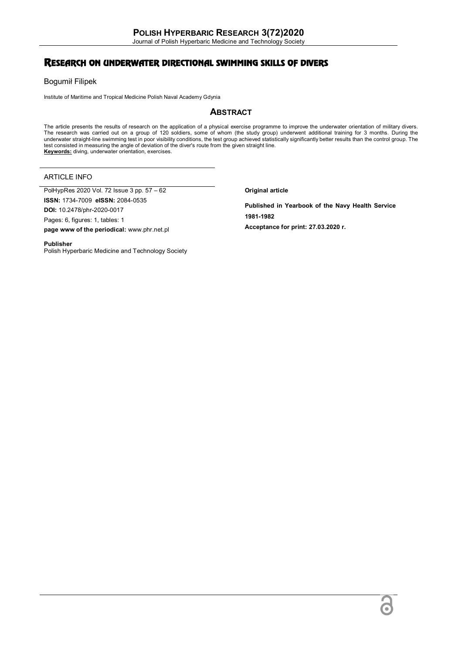Journal of Polish Hyperbaric Medicine and Technology Society

# RESEARCH ON UNDERWATER DIRECTIONAL SWIMMING SKILLS OF DIVERS

Bogumił Filipek

Institute of Maritime and Tropical Medicine Polish Naval Academy Gdynia

## **ABSTRACT**

The article presents the results of research on the application of a physical exercise programme to improve the underwater orientation of military divers.<br>The research was carried out on a group of 120 soldiers, some of wh underwater straight-line swimming test in poor visibility conditions, the test group achieved statistically significantly better results than the control group. The test consisted in measuring the angle of deviation of the diver's route from the given straight line. **Keywords:** diving, underwater orientation, exercises.

## ARTICLE INFO

PolHypRes 2020 Vol. 72 Issue 3 pp. 57 – 62

**ISSN:** 1734-7009 **eISSN:** 2084-0535

**DOI:** 10.2478/phr-2020-0017 Pages: 6, figures: 1, tables: 1

**page www of the periodical:** www.phr.net.pl

**Original article**

**Published in Yearbook of the Navy Health Service 1981-1982 Acceptance for print: 27.03.2020 r.**

#### **Publisher**

Polish Hyperbaric Medicine and Technology Society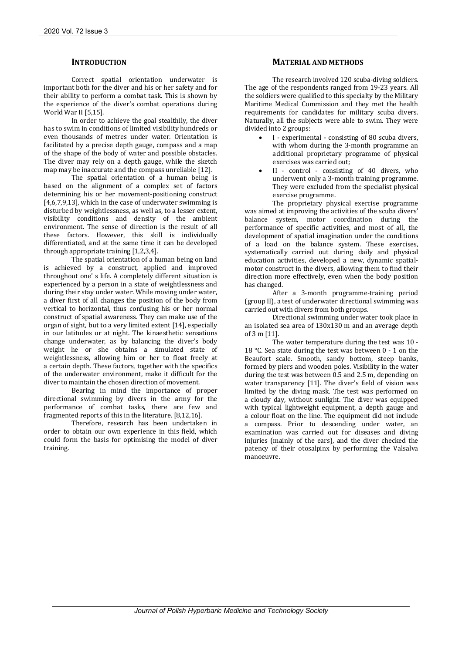## **INTRODUCTION**

Correct spatial orientation underwater is important both for the diver and his or her safety and for their ability to perform a combat task. This is shown by the experience of the diver's combat operations during World War II [5,15].

In order to achieve the goal stealthily, the diver has to swim in conditions of limited visibility hundreds or even thousands of metres under water. Orientation is facilitated by a precise depth gauge, compass and a map of the shape of the body of water and possible obstacles. The diver may rely on a depth gauge, while the sketch map may be inaccurate and the compass unreliable [12].

The spatial orientation of a human being is based on the alignment of a complex set of factors determining his or her movement-positioning construct [4,6,7,9,13], which in the case of underwater swimming is disturbed by weightlessness, as well as, to a lesser extent, visibility conditions and density of the ambient environment. The sense of direction is the result of all these factors. However, this skill is individually differentiated, and at the same time it can be developed through appropriate training [1,2,3,4].

The spatial orientation of a human being on land is achieved by a construct, applied and improved throughout one' s life. A completely different situation is experienced by a person in a state of weightlessness and during their stay under water. While moving under water, a diver first of all changes the position of the body from vertical to horizontal, thus confusing his or her normal construct of spatial awareness. They can make use of the organ of sight, but to a very limited extent [14], especially in our latitudes or at night. The kinaesthetic sensations change underwater, as by balancing the diver's body weight he or she obtains a simulated state of weightlessness, allowing him or her to float freely at a certain depth. These factors, together with the specifics of the underwater environment, make it difficult for the diver to maintain the chosen direction of movement.

Bearing in mind the importance of proper directional swimming by divers in the army for the performance of combat tasks, there are few and fragmented reports of this in the literature. [8,12,16].

Therefore, research has been undertaken in order to obtain our own experience in this field, which could form the basis for optimising the model of diver training.

## **MATERIAL AND METHODS**

The research involved 120 scuba-diving soldiers. The age of the respondents ranged from 19-23 years. All the soldiers were qualified to this specialty by the Military Maritime Medical Commission and they met the health requirements for candidates for military scuba divers. Naturally, all the subjects were able to swim. They were divided into 2 groups:

- I experimental consisting of 80 scuba divers, with whom during the 3-month programme an additional proprietary programme of physical exercises was carried out;
- II control consisting of 40 divers, who underwent only a 3-month training programme. They were excluded from the specialist physical exercise programme.

The proprietary physical exercise programme was aimed at improving the activities of the scuba divers' balance system, motor coordination during the performance of specific activities, and most of all, the development of spatial imagination under the conditions of a load on the balance system. These exercises, systematically carried out during daily and physical education activities, developed a new, dynamic spatialmotor construct in the divers, allowing them to find their direction more effectively, even when the body position has changed.

After a 3-month programme-training period (group II), a test of underwater directional swimming was carried out with divers from both groups.

Directional swimming under water took place in an isolated sea area of 130x130 m and an average depth of 3 m [11].

The water temperature during the test was 10 - 18 °C. Sea state during the test was between 0 - 1 on the Beaufort scale. Smooth, sandy bottom, steep banks, formed by piers and wooden poles. Visibility in the water during the test was between 0.5 and 2.5 m, depending on water transparency [11]. The diver's field of vision was limited by the diving mask. The test was performed on a cloudy day, without sunlight. The diver was equipped with typical lightweight equipment, a depth gauge and a colour float on the line. The equipment did not include a compass. Prior to descending under water, an examination was carried out for diseases and diving injuries (mainly of the ears), and the diver checked the patency of their otosalpinx by performing the Valsalva manoeuvre.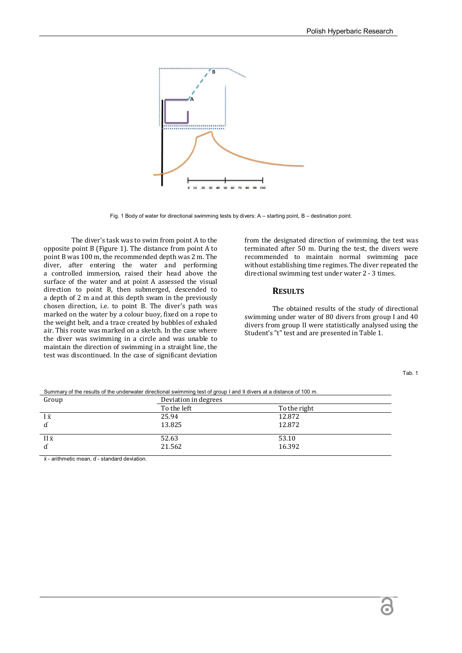

Fig. 1 Body of water for directional swimming tests by divers: A – starting point, B – destination point.

The diver's task was to swim from point A to the opposite point B (Figure 1). The distance from point A to point B was 100 m, the recommended depth was 2 m. The diver, after entering the water and performing a controlled immersion, raised their head above the surface of the water and at point A assessed the visual direction to point B, then submerged, descended to a depth of 2 m and at this depth swam in the previously chosen direction, i.e. to point B. The diver's path was marked on the water by a colour buoy, fixed on a rope to the weight belt, and a trace created by bubbles of exhaled air. This route was marked on a sketch. In the case where the diver was swimming in a circle and was unable to maintain the direction of swimming in a straight line, the test was discontinued. In the case of significant deviation from the designated direction of swimming, the test was terminated after 50 m. During the test, the divers were recommended to maintain normal swimming pace without establishing time regimes. The diver repeated the directional swimming test under water 2 - 3 times.

### **RESULTS**

The obtained results of the study of directional swimming under water of 80 divers from group I and 40 divers from group II were statistically analysed using the Student's "t" test and are presented in Table 1.

| Deviation in degrees |              |
|----------------------|--------------|
| To the left          | To the right |
| 25.94                | 12.872       |
| 13.825               | 12.872       |
| 52.63                | 53.10        |
| 21.562               | 16.392       |
|                      |              |

Summary of the results of the underwater directional swimming test of group I and II divers at a distance of 100 m.

 $x$  - arithmetic mean, d - standard deviation.